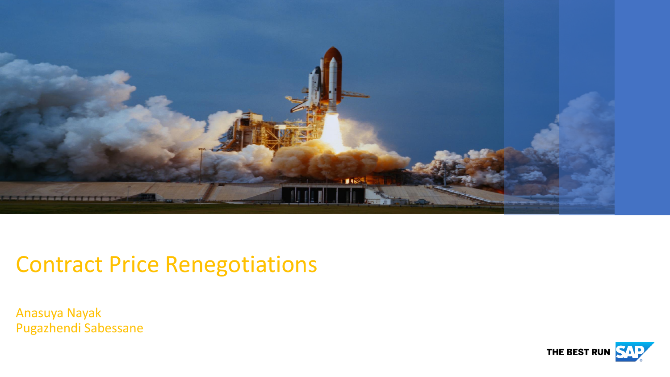

## Contract Price Renegotiations

Anasuya Nayak Pugazhendi Sabessane

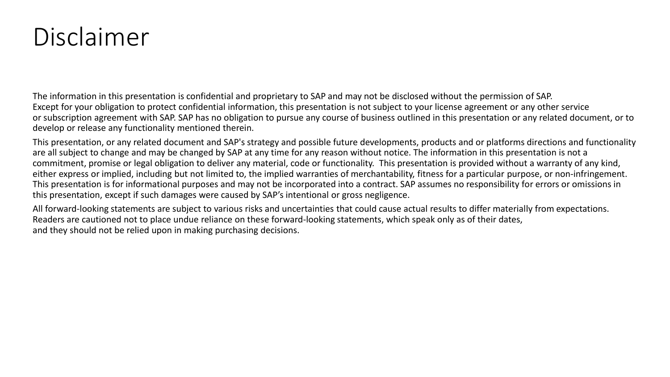# Disclaimer

The information in this presentation is confidential and proprietary to SAP and may not be disclosed without the permission of SAP. Except for your obligation to protect confidential information, this presentation is not subject to your license agreement or any other service or subscription agreement with SAP. SAP has no obligation to pursue any course of business outlined in this presentation or any related document, or to develop or release any functionality mentioned therein.

This presentation, or any related document and SAP's strategy and possible future developments, products and or platforms directions and functionality are all subject to change and may be changed by SAP at any time for any reason without notice. The information in this presentation is not a commitment, promise or legal obligation to deliver any material, code or functionality. This presentation is provided without a warranty of any kind, either express or implied, including but not limited to, the implied warranties of merchantability, fitness for a particular purpose, or non-infringement. This presentation is for informational purposes and may not be incorporated into a contract. SAP assumes no responsibility for errors or omissions in this presentation, except if such damages were caused by SAP's intentional or gross negligence.

All forward-looking statements are subject to various risks and uncertainties that could cause actual results to differ materially from expectations. Readers are cautioned not to place undue reliance on these forward-looking statements, which speak only as of their dates, and they should not be relied upon in making purchasing decisions.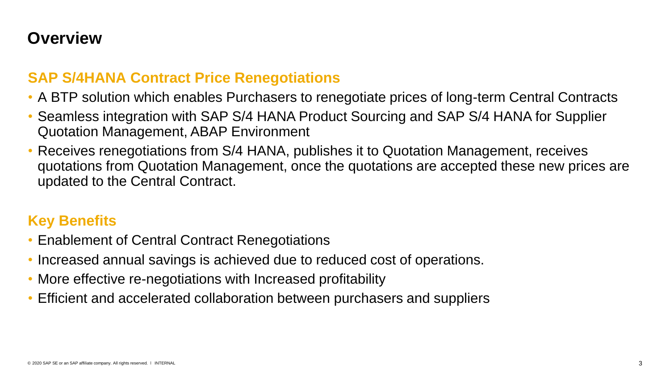#### **Overview**

#### **SAP S/4HANA Contract Price Renegotiations**

- A BTP solution which enables Purchasers to renegotiate prices of long-term Central Contracts
- Seamless integration with SAP S/4 HANA Product Sourcing and SAP S/4 HANA for Supplier Quotation Management, ABAP Environment
- Receives renegotiations from S/4 HANA, publishes it to Quotation Management, receives quotations from Quotation Management, once the quotations are accepted these new prices are updated to the Central Contract.

#### **Key Benefits**

- Enablement of Central Contract Renegotiations
- Increased annual savings is achieved due to reduced cost of operations.
- More effective re-negotiations with Increased profitability
- Efficient and accelerated collaboration between purchasers and suppliers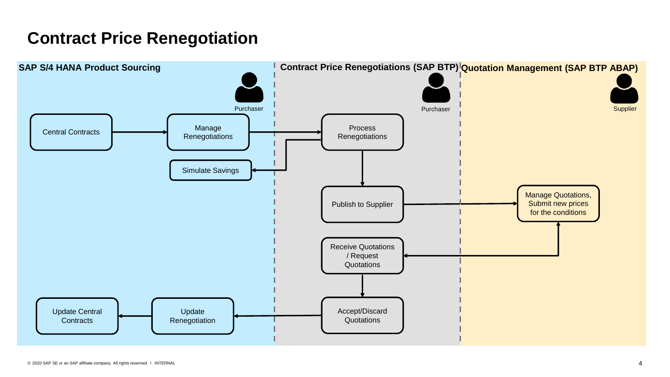### **Contract Price Renegotiation**

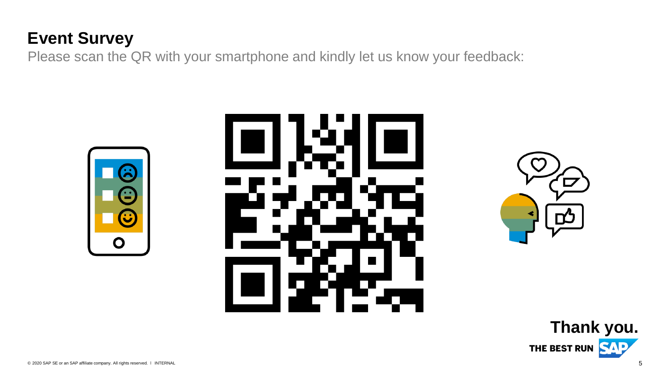## **Event Survey**

Please scan the QR with your smartphone and kindly let us know your feedback:







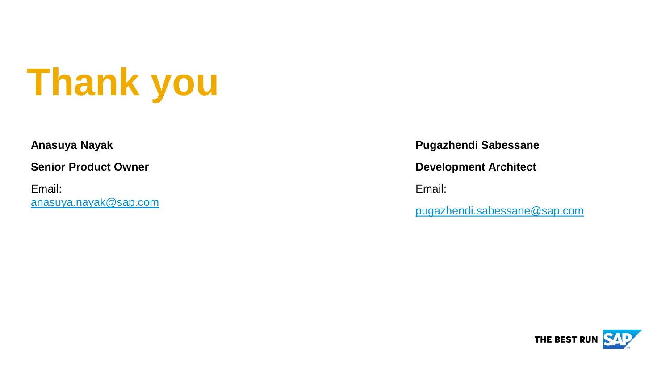# **Thank you**

#### **Anasuya Nayak**

**Senior Product Owner**

Email: [anasuya.nayak@sap.com](mailto:anasuya.nayak@sap.com) **Pugazhendi Sabessane**

**Development Architect** 

Email:

[pugazhendi.sabessane@sap.com](mailto:pugazhendi.sabessane@sap.com)